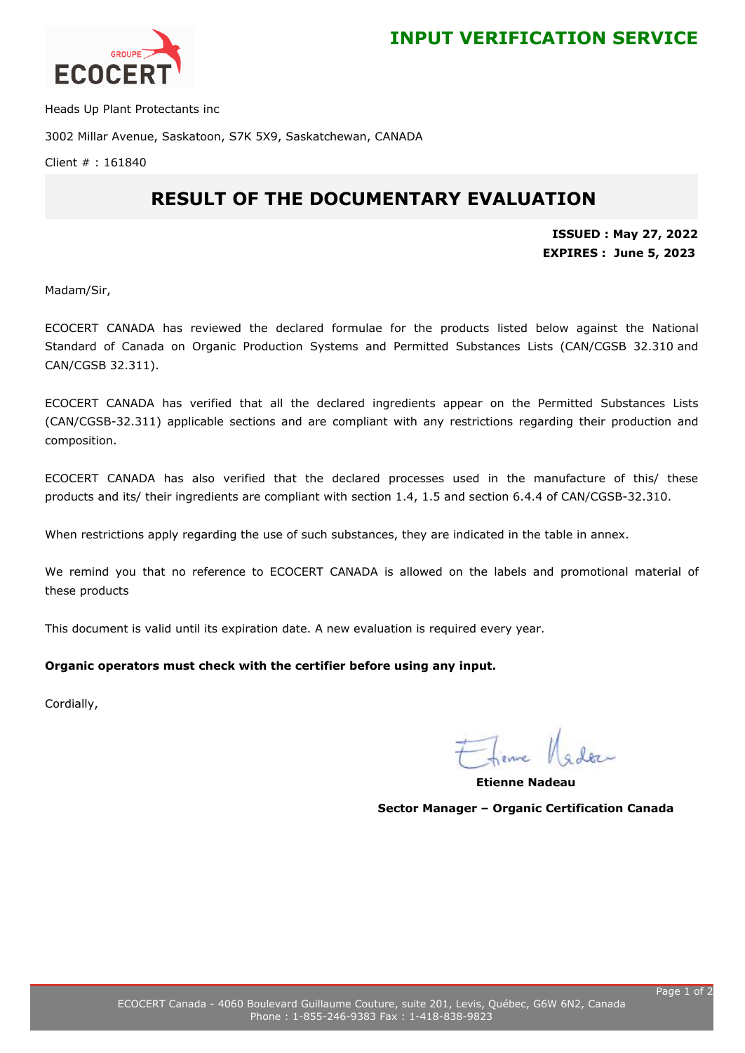

Heads Up Plant Protectants inc

3002 Millar Avenue, Saskatoon, S7K 5X9, Saskatchewan, CANADA

Client # : 161840

## **RESULT OF THE DOCUMENTARY EVALUATION**

**ISSUED : May 27, 2022 EXPIRES : June 5, 2023**

Madam/Sir,

ECOCERT CANADA has reviewed the declared formulae for the products listed below against the National Standard of Canada on Organic Production Systems and Permitted Substances Lists (CAN/CGSB 32.310 and CAN/CGSB 32.311).

ECOCERT CANADA has verified that all the declared ingredients appear on the Permitted Substances Lists (CAN/CGSB-32.311) applicable sections and are compliant with any restrictions regarding their production and composition.

ECOCERT CANADA has also verified that the declared processes used in the manufacture of this/ these products and its/ their ingredients are compliant with section 1.4, 1.5 and section 6.4.4 of CAN/CGSB-32.310.

When restrictions apply regarding the use of such substances, they are indicated in the table in annex.

We remind you that no reference to ECOCERT CANADA is allowed on the labels and promotional material of these products

This document is valid until its expiration date. A new evaluation is required every year.

## **Organic operators must check with the certifier before using any input.**

Cordially,

**Etienne Nadeau Sector Manager – Organic Certification Canada**